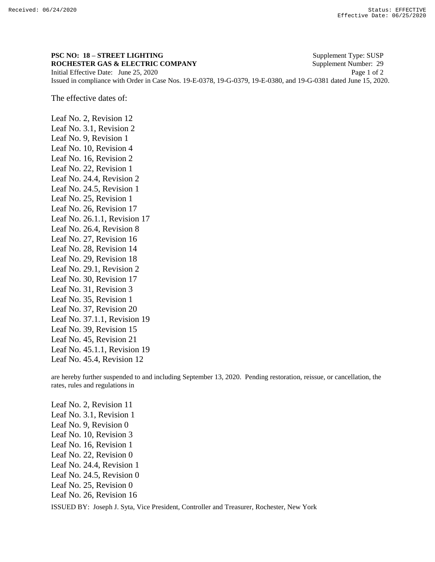## **PSC NO: 18 – STREET LIGHTING** Supplement Type: SUSP

**ROCHESTER GAS & ELECTRIC COMPANY** Supplement Number: 29 Initial Effective Date: June 25, 2020 Page 1 of 2 Issued in compliance with Order in Case Nos. 19-E-0378, 19-G-0379, 19-E-0380, and 19-G-0381 dated June 15, 2020.

The effective dates of:

Leaf No. 2, Revision 12 Leaf No. 3.1, Revision 2 Leaf No. 9, Revision 1 Leaf No. 10, Revision 4 Leaf No. 16, Revision 2 Leaf No. 22, Revision 1 Leaf No. 24.4, Revision 2 Leaf No. 24.5, Revision 1 Leaf No. 25, Revision 1 Leaf No. 26, Revision 17 Leaf No. 26.1.1, Revision 17 Leaf No. 26.4, Revision 8 Leaf No. 27, Revision 16 Leaf No. 28, Revision 14 Leaf No. 29, Revision 18 Leaf No. 29.1, Revision 2 Leaf No. 30, Revision 17 Leaf No. 31, Revision 3 Leaf No. 35, Revision 1 Leaf No. 37, Revision 20 Leaf No. 37.1.1, Revision 19 Leaf No. 39, Revision 15 Leaf No. 45, Revision 21 Leaf No. 45.1.1, Revision 19 Leaf No. 45.4, Revision 12

are hereby further suspended to and including September 13, 2020. Pending restoration, reissue, or cancellation, the rates, rules and regulations in

ISSUED BY: Joseph J. Syta, Vice President, Controller and Treasurer, Rochester, New York Leaf No. 2, Revision 11 Leaf No. 3.1, Revision 1 Leaf No. 9, Revision 0 Leaf No. 10, Revision 3 Leaf No. 16, Revision 1 Leaf No. 22, Revision 0 Leaf No. 24.4, Revision 1 Leaf No. 24.5, Revision 0 Leaf No. 25, Revision 0 Leaf No. 26, Revision 16